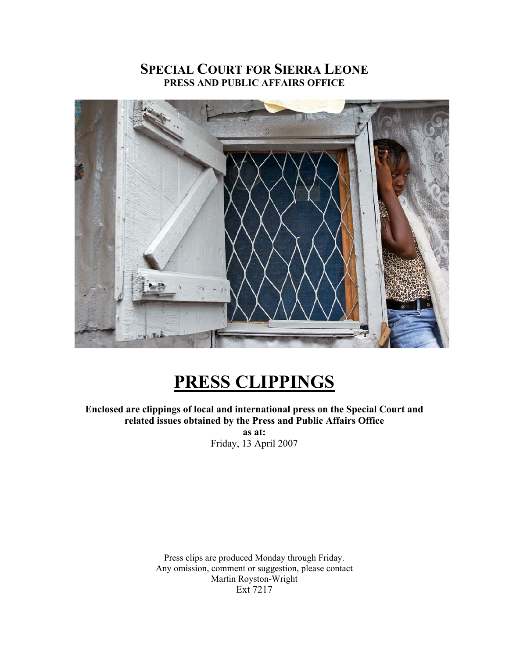# **SPECIAL COURT FOR SIERRA LEONE PRESS AND PUBLIC AFFAIRS OFFICE**



# **PRESS CLIPPINGS**

**Enclosed are clippings of local and international press on the Special Court and related issues obtained by the Press and Public Affairs Office as at:**  Friday, 13 April 2007

> Press clips are produced Monday through Friday. Any omission, comment or suggestion, please contact Martin Royston-Wright Ext 7217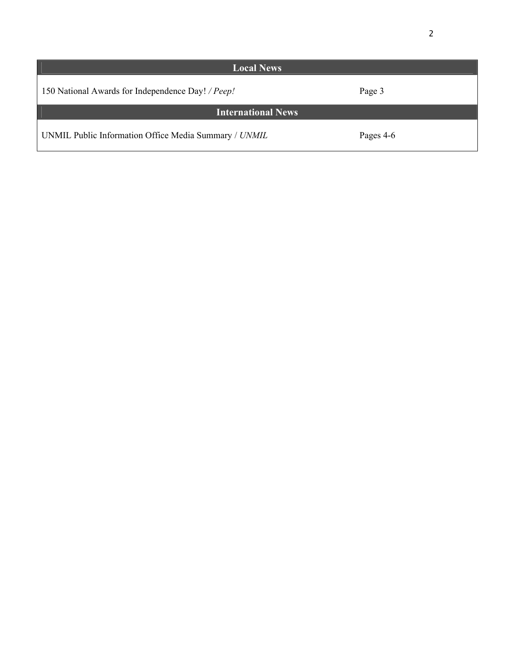| <b>Local News</b>                                     |           |
|-------------------------------------------------------|-----------|
| 150 National Awards for Independence Day! / Peep!     | Page 3    |
| <b>International News</b>                             |           |
| UNMIL Public Information Office Media Summary / UNMIL | Pages 4-6 |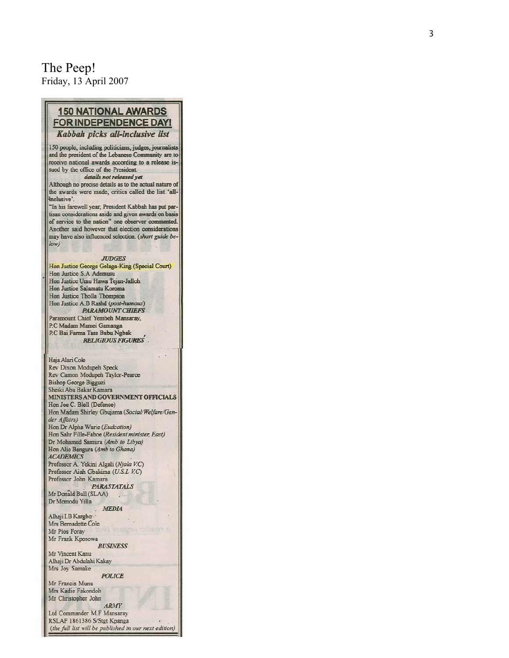### The Peep! Friday, 13 April 2007

### **150 NATIONAL AWARDS FOR INDEPENDENCE DAY!** Kabbah picks all-inclusive list

150 people, including politicians, judges, journalists and the president of the Lebanese Community are to receive national awards according to a release issued by the office of the President.

#### details not released yet

Although no precise details as to the actual nature of the awards were made, critics called the list 'allinclusive'.

"In his farewell year, President Kabbah has put partisan considerations aside and given awards on basis of service to the nation" one observer commented. Another said however that election considerations may have also influenced selection. (short guide below)

#### **JUDGES**

Hon Justice George Gelaga-King (Special Court) Hon Justice S.A Ademusu Hon Justice Umu Hawa Tejan-Jalloh Hon Justice Salamatu Koroma Hon Justice Tholla Thompson Hon Justice A.B Rashd (post-humous) **PARAMOUNT CHIEFS** Paramount Chief Yembeh Mansaray, P.C Madam Mamei Gamanga P.C Bai Farma Tass Bubu Ngbak **RELIGIOUS FIGURES** 

Haja Alari Cole Rev Dixon Modupeh Speck Rev Camon Modupeh Taylor-Pearce **Bishop George Bigguzi** Sheiki Abu Bakar Kamara MINISTERS AND GOVERNMENT OFFICIALS Hon Joe C. Blell (Defence) Hon Madam Shirley Gbujama (Social/Welfare/Gender Affairs) Hon Dr Alpha Wurie (Eudcation) Hon Sahr Fille-Faboe (Resident minister, East) Dr Mohamed Samura (Amb to Libya) Hon Alie Bangura (Amb to Ghana) **ACADEMICS** Professor A. Yekini Algali (Njala V.C) Professor Aiah Gbakima (U.S.L V.C) Professor John Kamara **PARASTATALS** Mr Donald Bull (SLAA) Dr Momodu Yilla **MEDIA** Alhaji I.B Kargbo-Mrs Bernadette Cole Mr Pios Foray Mr Frank Kposowa **BUSINESS** Mr Vincent Kanu Alhaji Dr Abdulahi Kakay Mrs Joy Samake **POLICE** Mr Francis Munu Mrs Kadie Fakondoh Mr Christopher John **ARMY** Ltd Commander M.F Mansaray RSLAF 1861386 S/Stgt Kpanga (the full list will be published in our next edition)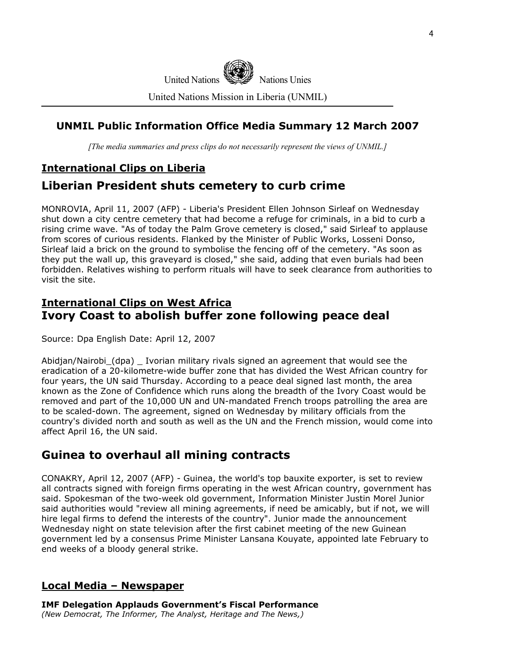

United Nations Mission in Liberia (UNMIL)

### **UNMIL Public Information Office Media Summary 12 March 2007**

*[The media summaries and press clips do not necessarily represent the views of UNMIL.]*

### **International Clips on Liberia**

## **Liberian President shuts cemetery to curb crime**

MONROVIA, April 11, 2007 (AFP) - Liberia's President Ellen Johnson Sirleaf on Wednesday shut down a city centre cemetery that had become a refuge for criminals, in a bid to curb a rising crime wave. "As of today the Palm Grove cemetery is closed," said Sirleaf to applause from scores of curious residents. Flanked by the Minister of Public Works, Losseni Donso, Sirleaf laid a brick on the ground to symbolise the fencing off of the cemetery. "As soon as they put the wall up, this graveyard is closed," she said, adding that even burials had been forbidden. Relatives wishing to perform rituals will have to seek clearance from authorities to visit the site.

### **International Clips on West Africa Ivory Coast to abolish buffer zone following peace deal**

Source: Dpa English Date: April 12, 2007

Abidjan/Nairobi\_(dpa) \_ Ivorian military rivals signed an agreement that would see the eradication of a 20-kilometre-wide buffer zone that has divided the West African country for four years, the UN said Thursday. According to a peace deal signed last month, the area known as the Zone of Confidence which runs along the breadth of the Ivory Coast would be removed and part of the 10,000 UN and UN-mandated French troops patrolling the area are to be scaled-down. The agreement, signed on Wednesday by military officials from the country's divided north and south as well as the UN and the French mission, would come into affect April 16, the UN said.

### **Guinea to overhaul all mining contracts**

CONAKRY, April 12, 2007 (AFP) - Guinea, the world's top bauxite exporter, is set to review all contracts signed with foreign firms operating in the west African country, government has said. Spokesman of the two-week old government, Information Minister Justin Morel Junior said authorities would "review all mining agreements, if need be amicably, but if not, we will hire legal firms to defend the interests of the country". Junior made the announcement Wednesday night on state television after the first cabinet meeting of the new Guinean government led by a consensus Prime Minister Lansana Kouyate, appointed late February to end weeks of a bloody general strike.

### **Local Media – Newspaper**

**IMF Delegation Applauds Government's Fiscal Performance**  *(New Democrat, The Informer, The Analyst, Heritage and The News,)*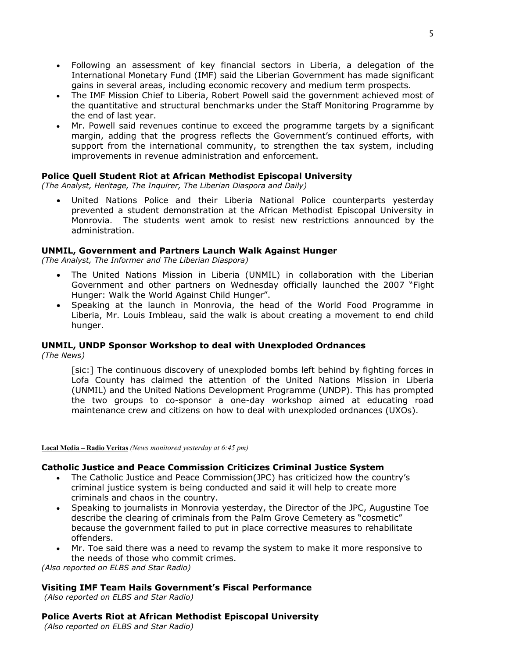- Following an assessment of key financial sectors in Liberia, a delegation of the International Monetary Fund (IMF) said the Liberian Government has made significant gains in several areas, including economic recovery and medium term prospects.
- The IMF Mission Chief to Liberia, Robert Powell said the government achieved most of the quantitative and structural benchmarks under the Staff Monitoring Programme by the end of last year.
- Mr. Powell said revenues continue to exceed the programme targets by a significant margin, adding that the progress reflects the Government's continued efforts, with support from the international community, to strengthen the tax system, including improvements in revenue administration and enforcement.

### **Police Quell Student Riot at African Methodist Episcopal University**

*(The Analyst, Heritage, The Inquirer, The Liberian Diaspora and Daily)* 

United Nations Police and their Liberia National Police counterparts yesterday prevented a student demonstration at the African Methodist Episcopal University in Monrovia. The students went amok to resist new restrictions announced by the administration.

#### **UNMIL, Government and Partners Launch Walk Against Hunger**

*(The Analyst, The Informer and The Liberian Diaspora)* 

- The United Nations Mission in Liberia (UNMIL) in collaboration with the Liberian Government and other partners on Wednesday officially launched the 2007 "Fight Hunger: Walk the World Against Child Hunger".
- Speaking at the launch in Monrovia, the head of the World Food Programme in Liberia, Mr. Louis Imbleau, said the walk is about creating a movement to end child hunger.

#### **UNMIL, UNDP Sponsor Workshop to deal with Unexploded Ordnances**

*(The News)* 

[sic:] The continuous discovery of unexploded bombs left behind by fighting forces in Lofa County has claimed the attention of the United Nations Mission in Liberia (UNMIL) and the United Nations Development Programme (UNDP). This has prompted the two groups to co-sponsor a one-day workshop aimed at educating road maintenance crew and citizens on how to deal with unexploded ordnances (UXOs).

**Local Media – Radio Veritas** *(News monitored yesterday at 6:45 pm)* 

#### **Catholic Justice and Peace Commission Criticizes Criminal Justice System**

- The Catholic Justice and Peace Commission(JPC) has criticized how the country's criminal justice system is being conducted and said it will help to create more criminals and chaos in the country.
- Speaking to journalists in Monrovia yesterday, the Director of the JPC, Augustine Toe describe the clearing of criminals from the Palm Grove Cemetery as "cosmetic" because the government failed to put in place corrective measures to rehabilitate offenders.
- Mr. Toe said there was a need to revamp the system to make it more responsive to the needs of those who commit crimes.

*(Also reported on ELBS and Star Radio)*

#### **Visiting IMF Team Hails Government's Fiscal Performance**

 *(Also reported on ELBS and Star Radio)*

#### **Police Averts Riot at African Methodist Episcopal University**

 *(Also reported on ELBS and Star Radio)*